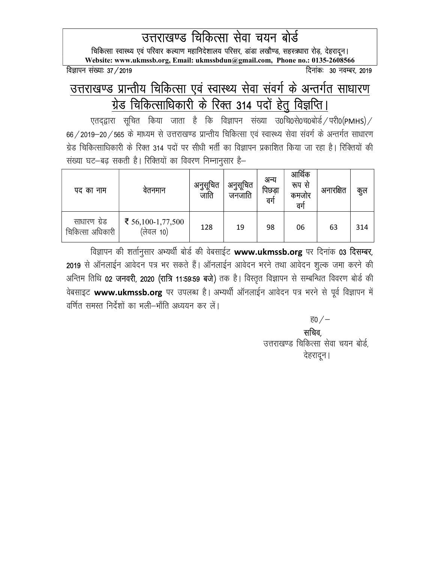उत्तराखण्ड चिकित्सा सेवा चयन बोर्ड

विकित्सा स्वास्थ्य एवं परिवार कल्याण महानिदेशालय परिसर, डांडा लखौण्ड, सहस्त्रधारा रोड़, देहरादून। Website: www.ukmssb.org, Email: ukmssbdun@gmail.com, Phone no.: 0135-2608566

विज्ञापन संख्या: 37 / 2019

## उत्तराखण्ड प्रान्तीय चिकित्सा एवं स्वास्थ्य सेवा संवर्ग के अन्तर्गत साधारण <u>ग्रेड चिकित्साधिकारी के रिक्त 314 पदों हेतु विज्ञप्ति।</u>

एतदद्वारा सूचित किया जाता है कि विज्ञापन संख्या उ0चि0से0च0बोर्ड / परी0(PMHS) /  $66$ /2019-20/565 के माध्यम से उत्तराखण्ड प्रान्तीय चिकित्सा एवं स्वास्थ्य सेवा संवर्ग के अन्तर्गत साधारण ग्रेड चिकित्साधिकारी के रिक्त 314 पदों पर सीधी भर्ती का विज्ञापन प्रकाशित किया जा रहा है। रिक्तियों की संख्या घट–बढ सकती है। रिक्तियों का विवरण निम्नानुसार है–

| पद का नाम                        | वतनमान                         | अनुसूचित<br>जाति | अनुसूचित<br>जनजाति | अन्य<br>पिछडा<br>वगे | आर्थिक<br>रूप से<br>कमजार<br>वग | अनारक्षित | कुल |
|----------------------------------|--------------------------------|------------------|--------------------|----------------------|---------------------------------|-----------|-----|
| साधारण ग्रेड<br>चिकित्सा अधिकारी | ₹ 56,100-1,77,500<br>(लेवल 10) | 128              | 19                 | 98                   | 06                              | 63        | 314 |

विज्ञापन की शर्तानुसार अभ्यर्थी बोर्ड की वेबसाईट www.ukmssb.org पर दिनांक 03 दिसम्बर, 2019 से ऑनलाईन आवेदन पत्र भर सकते हैं। ऑनलाईन आवेदन भरने तथा आवेदन शुल्क जमा करने की अन्तिम तिथि 02 जनवरी, 2020 (रात्रि 11:59:59 बजे) तक है। विस्तृत विज्ञापन से सम्बन्धित विवरण बोर्ड की वेबसाइट www.ukmssb.org पर उपलब्ध है। अभ्यर्थी ऑनलाईन आवेदन पत्र भरने से पूर्व विज्ञापन में वर्णित समस्त निर्देशों का भली–भाँति अध्ययन कर लें।

 $\overline{\epsilon}0$   $/-$ 

 $\frac{1}{2}$ प्रतिबन्धान्तिक स्वतिबन्धान्तिक स्वतिबन्धान्तिक स्वतिबन्धान्तिक स् उत्तराखण्ड चिकित्सा सेवा चयन बोर्ड.

nsgjknwuA